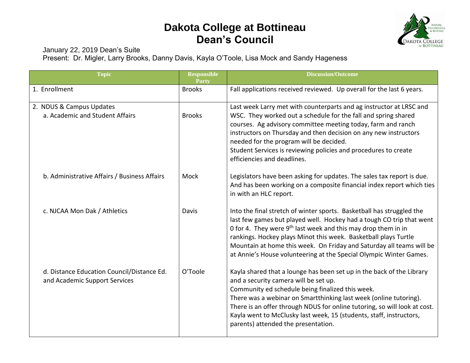## **Dakota College at Bottineau Dean's Council**



January 22, 2019 Dean's Suite

Present: Dr. Migler, Larry Brooks, Danny Davis, Kayla O'Toole, Lisa Mock and Sandy Hageness

| <b>Topic</b>                                                                | <b>Responsible</b><br><b>Party</b> | <b>Discussion/Outcome</b>                                                                                                                                                                                                                                                                                                                                                                                                          |
|-----------------------------------------------------------------------------|------------------------------------|------------------------------------------------------------------------------------------------------------------------------------------------------------------------------------------------------------------------------------------------------------------------------------------------------------------------------------------------------------------------------------------------------------------------------------|
| 1. Enrollment                                                               | <b>Brooks</b>                      | Fall applications received reviewed. Up overall for the last 6 years.                                                                                                                                                                                                                                                                                                                                                              |
| 2. NDUS & Campus Updates<br>a. Academic and Student Affairs                 | <b>Brooks</b>                      | Last week Larry met with counterparts and ag instructor at LRSC and<br>WSC. They worked out a schedule for the fall and spring shared<br>courses. Ag advisory committee meeting today, farm and ranch<br>instructors on Thursday and then decision on any new instructors<br>needed for the program will be decided.<br>Student Services is reviewing policies and procedures to create<br>efficiencies and deadlines.             |
| b. Administrative Affairs / Business Affairs                                | Mock                               | Legislators have been asking for updates. The sales tax report is due.<br>And has been working on a composite financial index report which ties<br>in with an HLC report.                                                                                                                                                                                                                                                          |
| c. NJCAA Mon Dak / Athletics                                                | Davis                              | Into the final stretch of winter sports. Basketball has struggled the<br>last few games but played well. Hockey had a tough CO trip that went<br>0 for 4. They were $9th$ last week and this may drop them in in<br>rankings. Hockey plays Minot this week. Basketball plays Turtle<br>Mountain at home this week. On Friday and Saturday all teams will be<br>at Annie's House volunteering at the Special Olympic Winter Games.  |
| d. Distance Education Council/Distance Ed.<br>and Academic Support Services | O'Toole                            | Kayla shared that a lounge has been set up in the back of the Library<br>and a security camera will be set up.<br>Community ed schedule being finalized this week.<br>There was a webinar on Smartthinking last week (online tutoring).<br>There is an offer through NDUS for online tutoring, so will look at cost.<br>Kayla went to McClusky last week, 15 (students, staff, instructors,<br>parents) attended the presentation. |